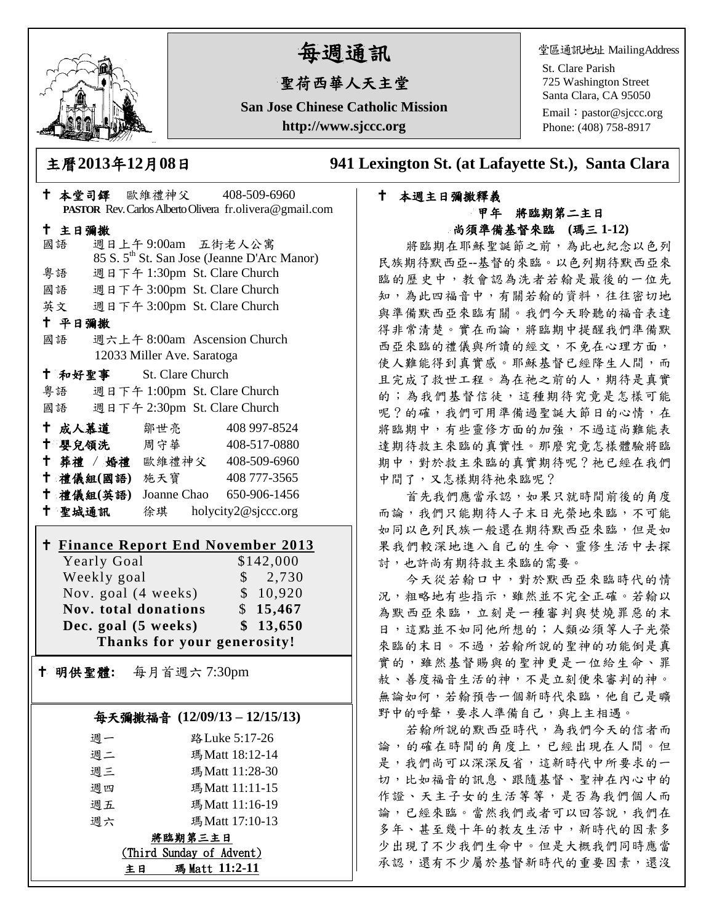

# 每週通訊

## 聖荷西華人天主堂

**San Jose Chinese Catholic Mission http://www.sjccc.org**

堂區通訊地址 MailingAddress

St. Clare Parish 725 Washington Street Santa Clara, CA 95050

Email: [pastor@sjccc.org](mailto:pastor@sjccc.org) Phone: (408) 758-8917

主曆**2013**年**12**月**08**日 **941 Lexington St. (at Lafayette St.), Santa Clara** 

#### 本週主日彌撒釋義 甲年 將臨期第二主日 尚須準備基督來臨**(**瑪三 **1-12)**

將臨期在耶穌聖誕節之前,為此也紀念以色列 民族期待默西亞--基督的來臨。以色列期待默西亞來 臨的歷史中,教會認為洗者若翰是最後的一位先 知,為此四福音中,有關若翰的資料,往往密切地 與準備默西亞來臨有關。我們今天聆聽的福音表達 得非常清楚。實在而論,將臨期中提醒我們準備默 西亞來臨的禮儀與所讀的經文,不免在心理方面, 使人難能得到真實感。耶穌基督已經降生人間,而 且完成了救世工程。為在祂之前的人,期待是真實 的;為我們基督信徒,這種期待究竟是怎樣可能 呢?的確,我們可用準備過聖誕大節日的心情,在 將臨期中,有些靈修方面的加強,不過這尚難能表 達期待救主來臨的真實性。那麼究竟怎樣體驗將臨 期中,對於救主來臨的真實期待呢?祂已經在我們 中間了,又怎樣期待祂來臨呢?

首先我們應當承認,如果只就時間前後的角度 而論,我們只能期待人子末日光榮地來臨,不可能 如同以色列民族一般還在期待默西亞來臨,但是如 果我們較深地進入自己的生命、靈修生活中去探 討,也許尚有期待救主來臨的需要。

今天從若翰口中,對於默西亞來臨時代的情 況,粗略地有些指示,雖然並不完全正確。若翰以 為默西亞來臨,立刻是一種審判與焚燒罪惡的末 日,這點並不如同他所想的;人類必須等人子光榮 來臨的末日。不過,若翰所說的聖神的功能倒是真 實的,雖然基督賜與的聖神更是一位給生命、罪 赦、善度福音生活的神,不是立刻便來審判的神。 無論如何,若翰預告一個新時代來臨,他自己是曠 野中的呼聲,要求人準備自己,與上主相遇。

若翰所說的默西亞時代,為我們今天的信者而 論,的確在時間的角度上,已經出現在人間。但 是,我們尚可以深深反省,這新時代中所要求的一 切,比如福音的訊息、跟隨基督、聖神在內心中的 作證、天主子女的生活等等,是否為我們個人而 論,已經來臨。當然我們或者可以回答說,我們在 多年、甚至幾十年的教友生活中,新時代的因素多 少出現了不少我們生命中。但是大概我們同時應當 承認,還有不少屬於基督新時代的重要因素,還沒

| † 本堂司鐸 歐維禮神父 408-509-6960          |                                  | PASTOR Rev. Carlos Alberto Olivera fr.olivera@gmail.com |  |
|------------------------------------|----------------------------------|---------------------------------------------------------|--|
|                                    |                                  |                                                         |  |
| 十 主日彌撒<br>國語                       | 週日上午9:00am 五街老人公寓                |                                                         |  |
|                                    |                                  | 85 S. 5 <sup>th</sup> St. San Jose (Jeanne D'Arc Manor) |  |
| 粤語                                 | 週日下午 1:30pm St. Clare Church     |                                                         |  |
| 國語                                 | 週日下午 3:00pm St. Clare Church     |                                                         |  |
| 英文                                 | 週日下午 3:00pm St. Clare Church     |                                                         |  |
| 十 平日彌撒                             |                                  |                                                         |  |
| 國語 週六上午 8:00am Ascension Church    |                                  |                                                         |  |
|                                    | 12033 Miller Ave. Saratoga       |                                                         |  |
| <sup>†</sup> 和好聖事 St. Clare Church |                                  |                                                         |  |
| 粤語                                 | 週日下午 1:00pm St. Clare Church     |                                                         |  |
| 國語                                 | 週日下午 2:30pm St. Clare Church     |                                                         |  |
| † 成人慕道   鄒世亮                       |                                  | 408 997-8524                                            |  |
| 十 嬰兒領洗 周守華                         |                                  | 408-517-0880                                            |  |
| † 葬禮 / 婚禮 歐維禮神父 408-509-6960       |                                  |                                                         |  |
| † 禮儀組(國語) 施天寶 408777-3565          |                                  |                                                         |  |
| † 禮儀組(英語) Joanne Chao 650-906-1456 |                                  |                                                         |  |
| 十 聖城通訊                             |                                  | 徐琪 holycity2@sjccc.org                                  |  |
| † ∶                                |                                  | <b>Finance Report End November 2013</b>                 |  |
| Yearly Goal                        |                                  | \$142,000                                               |  |
| Weekly goal<br>\$2,730             |                                  |                                                         |  |
|                                    | Nov. goal (4 weeks) \$ 10,920    |                                                         |  |
| Nov. total donations \$15,467      |                                  |                                                         |  |
| \$13,650<br>Dec. goal (5 weeks)    |                                  |                                                         |  |
| Thanks for your generosity!        |                                  |                                                         |  |
| † 明供聖體: 每月首週六 7:30pm               |                                  |                                                         |  |
|                                    |                                  |                                                         |  |
|                                    |                                  | 每天彌撒福音 (12/09/13-12/15/13)                              |  |
|                                    |                                  |                                                         |  |
| 週一                                 | 路 Luke 5:17-26                   |                                                         |  |
| 週二                                 | 瑪Matt 18:12-14                   |                                                         |  |
| 週三                                 | 瑪Matt 11:28-30<br>瑪Matt 11:11-15 |                                                         |  |
| 週四<br>週五                           | 瑪Matt 11:16-19                   |                                                         |  |
| 週六                                 | 瑪Matt 17:10-13                   |                                                         |  |
| <u> 將臨期第三主日</u>                    |                                  |                                                         |  |
|                                    |                                  |                                                         |  |

(Third Sunday of Advent) 主日 瑪 Matt **11:2-11**